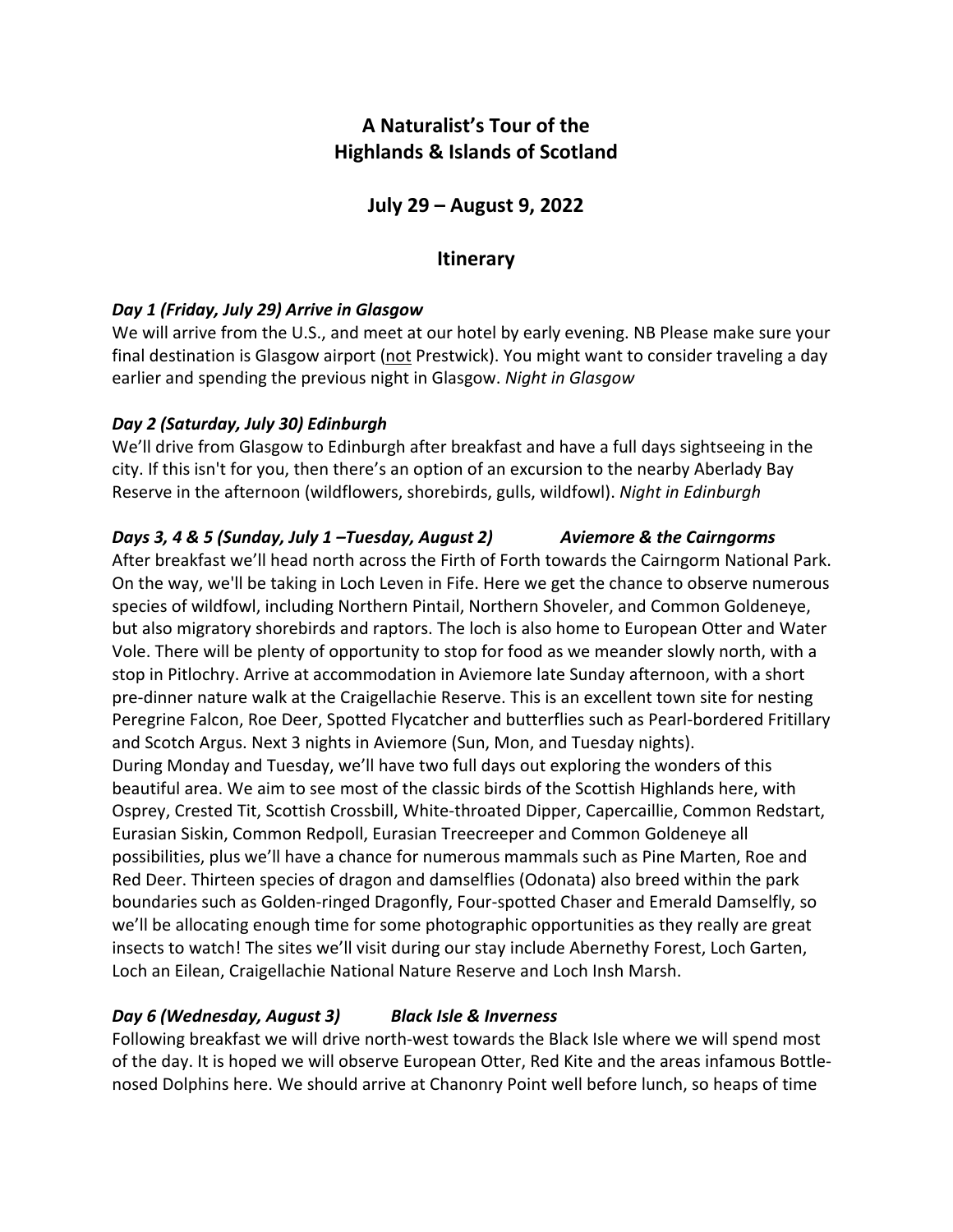# **A Naturalist's Tour of the Highlands & Islands of Scotland**

**July 29 – August 9, 2022**

### **Itinerary**

#### *Day 1 (Friday, July 29) Arrive in Glasgow*

We will arrive from the U.S., and meet at our hotel by early evening. NB Please make sure your final destination is Glasgow airport (not Prestwick). You might want to consider traveling a day earlier and spending the previous night in Glasgow. *Night in Glasgow*

#### *Day 2 (Saturday, July 30) Edinburgh*

We'll drive from Glasgow to Edinburgh after breakfast and have a full days sightseeing in the city. If this isn't for you, then there's an option of an excursion to the nearby Aberlady Bay Reserve in the afternoon (wildflowers, shorebirds, gulls, wildfowl). *Night in Edinburgh*

### *Days 3, 4 & 5 (Sunday, July 1 –Tuesday, August 2) Aviemore & the Cairngorms*

After breakfast we'll head north across the Firth of Forth towards the Cairngorm National Park. On the way, we'll be taking in Loch Leven in Fife. Here we get the chance to observe numerous species of wildfowl, including Northern Pintail, Northern Shoveler, and Common Goldeneye, but also migratory shorebirds and raptors. The loch is also home to European Otter and Water Vole. There will be plenty of opportunity to stop for food as we meander slowly north, with a stop in Pitlochry. Arrive at accommodation in Aviemore late Sunday afternoon, with a short pre-dinner nature walk at the Craigellachie Reserve. This is an excellent town site for nesting Peregrine Falcon, Roe Deer, Spotted Flycatcher and butterflies such as Pearl-bordered Fritillary and Scotch Argus. Next 3 nights in Aviemore (Sun, Mon, and Tuesday nights). During Monday and Tuesday, we'll have two full days out exploring the wonders of this beautiful area. We aim to see most of the classic birds of the Scottish Highlands here, with Osprey, Crested Tit, Scottish Crossbill, White-throated Dipper, Capercaillie, Common Redstart, Eurasian Siskin, Common Redpoll, Eurasian Treecreeper and Common Goldeneye all possibilities, plus we'll have a chance for numerous mammals such as Pine Marten, Roe and Red Deer. Thirteen species of dragon and damselflies (Odonata) also breed within the park boundaries such as Golden-ringed Dragonfly, Four-spotted Chaser and Emerald Damselfly, so we'll be allocating enough time for some photographic opportunities as they really are great insects to watch! The sites we'll visit during our stay include Abernethy Forest, Loch Garten, Loch an Eilean, Craigellachie National Nature Reserve and Loch Insh Marsh.

#### *Day 6 (Wednesday, August 3) Black Isle & Inverness*

Following breakfast we will drive north-west towards the Black Isle where we will spend most of the day. It is hoped we will observe European Otter, Red Kite and the areas infamous Bottlenosed Dolphins here. We should arrive at Chanonry Point well before lunch, so heaps of time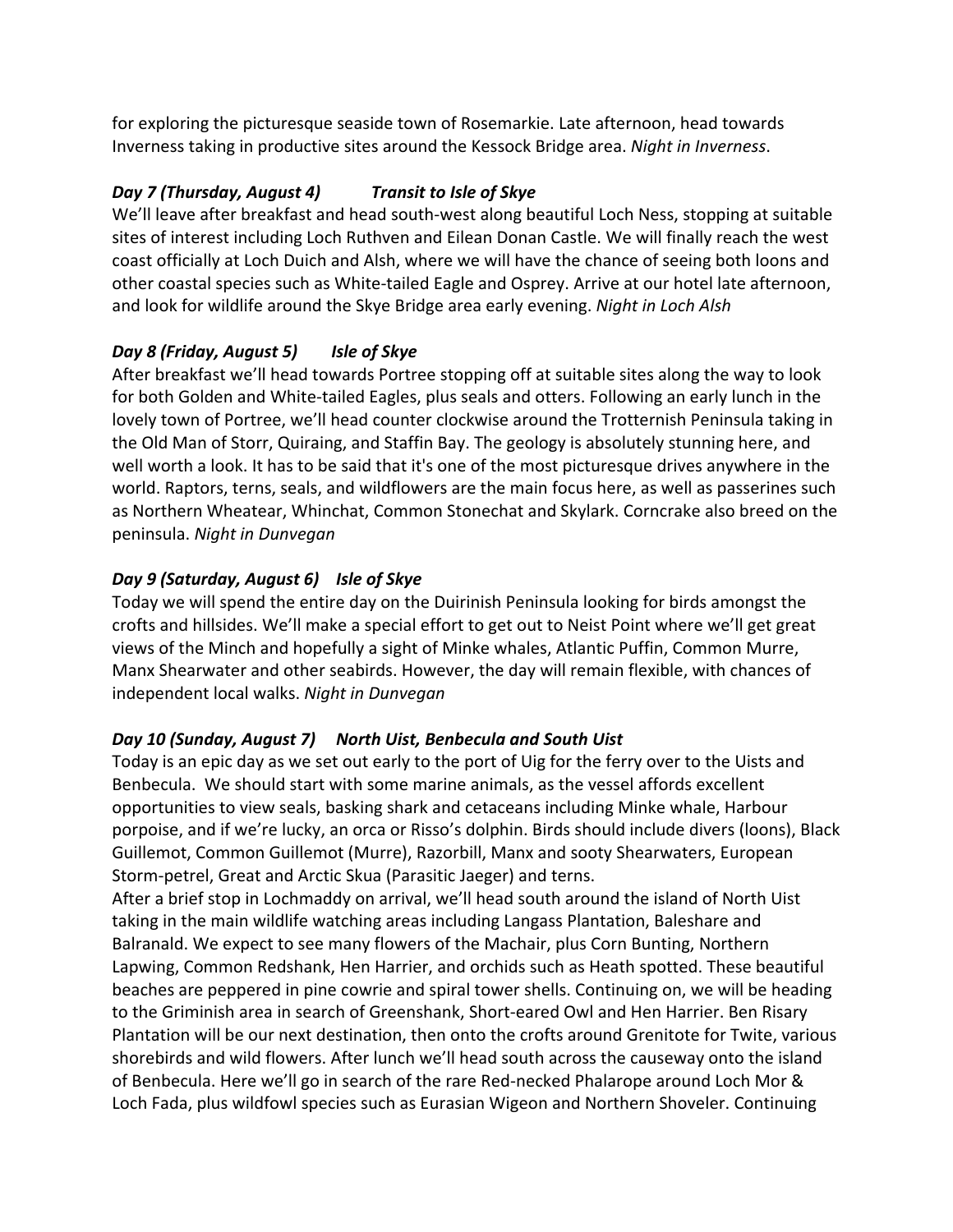for exploring the picturesque seaside town of Rosemarkie. Late afternoon, head towards Inverness taking in productive sites around the Kessock Bridge area. *Night in Inverness*.

### *Day 7 (Thursday, August 4) Transit to Isle of Skye*

We'll leave after breakfast and head south-west along beautiful Loch Ness, stopping at suitable sites of interest including Loch Ruthven and Eilean Donan Castle. We will finally reach the west coast officially at Loch Duich and Alsh, where we will have the chance of seeing both loons and other coastal species such as White-tailed Eagle and Osprey. Arrive at our hotel late afternoon, and look for wildlife around the Skye Bridge area early evening. *Night in Loch Alsh*

### *Day 8 (Friday, August 5) Isle of Skye*

After breakfast we'll head towards Portree stopping off at suitable sites along the way to look for both Golden and White-tailed Eagles, plus seals and otters. Following an early lunch in the lovely town of Portree, we'll head counter clockwise around the Trotternish Peninsula taking in the Old Man of Storr, Quiraing, and Staffin Bay. The geology is absolutely stunning here, and well worth a look. It has to be said that it's one of the most picturesque drives anywhere in the world. Raptors, terns, seals, and wildflowers are the main focus here, as well as passerines such as Northern Wheatear, Whinchat, Common Stonechat and Skylark. Corncrake also breed on the peninsula. *Night in Dunvegan*

## *Day 9 (Saturday, August 6) Isle of Skye*

Today we will spend the entire day on the Duirinish Peninsula looking for birds amongst the crofts and hillsides. We'll make a special effort to get out to Neist Point where we'll get great views of the Minch and hopefully a sight of Minke whales, Atlantic Puffin, Common Murre, Manx Shearwater and other seabirds. However, the day will remain flexible, with chances of independent local walks. *Night in Dunvegan*

### *Day 10 (Sunday, August 7) North Uist, Benbecula and South Uist*

Today is an epic day as we set out early to the port of Uig for the ferry over to the Uists and Benbecula. We should start with some marine animals, as the vessel affords excellent opportunities to view seals, basking shark and cetaceans including Minke whale, Harbour porpoise, and if we're lucky, an orca or Risso's dolphin. Birds should include divers (loons), Black Guillemot, Common Guillemot (Murre), Razorbill, Manx and sooty Shearwaters, European Storm-petrel, Great and Arctic Skua (Parasitic Jaeger) and terns.

After a brief stop in Lochmaddy on arrival, we'll head south around the island of North Uist taking in the main wildlife watching areas including Langass Plantation, Baleshare and Balranald. We expect to see many flowers of the Machair, plus Corn Bunting, Northern Lapwing, Common Redshank, Hen Harrier, and orchids such as Heath spotted. These beautiful beaches are peppered in pine cowrie and spiral tower shells. Continuing on, we will be heading to the Griminish area in search of Greenshank, Short-eared Owl and Hen Harrier. Ben Risary Plantation will be our next destination, then onto the crofts around Grenitote for Twite, various shorebirds and wild flowers. After lunch we'll head south across the causeway onto the island of Benbecula. Here we'll go in search of the rare Red-necked Phalarope around Loch Mor & Loch Fada, plus wildfowl species such as Eurasian Wigeon and Northern Shoveler. Continuing